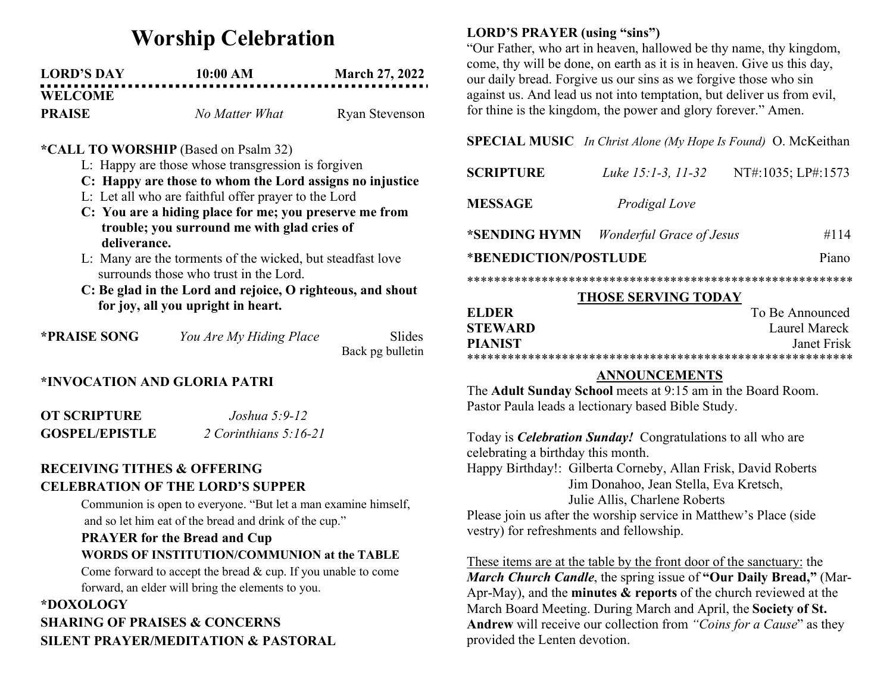# Worship Celebration

| <b>LORD'S DAY</b> | 10:00 AM       | <b>March 27, 2022</b> |
|-------------------|----------------|-----------------------|
| <b>WELCOME</b>    |                |                       |
| <b>PRAISE</b>     | No Matter What | Ryan Stevenson        |

### \*CALL TO WORSHIP (Based on Psalm 32)

- L: Happy are those whose transgression is forgiven
- C: Happy are those to whom the Lord assigns no injustice
- L: Let all who are faithful offer prayer to the Lord
- C: You are a hiding place for me; you preserve me from trouble; you surround me with glad cries of deliverance.
- L: Many are the torments of the wicked, but steadfast love surrounds those who trust in the Lord.
- C: Be glad in the Lord and rejoice, O righteous, and shout for joy, all you upright in heart.

| *PRAISE SONG | You Are My Hiding Place | Slides           |
|--------------|-------------------------|------------------|
|              |                         | Back pg bulletin |

## \*INVOCATION AND GLORIA PATRI

| OT SCRIPTURE          | Joshua 5:9-12           |
|-----------------------|-------------------------|
| <b>GOSPEL/EPISTLE</b> | 2 Corinthians $5:16-21$ |

## RECEIVING TITHES & OFFERING CELEBRATION OF THE LORD'S SUPPER

Communion is open to everyone. "But let a man examine himself, and so let him eat of the bread and drink of the cup."

## PRAYER for the Bread and Cup WORDS OF INSTITUTION/COMMUNION at the TABLE

Come forward to accept the bread & cup. If you unable to come forward, an elder will bring the elements to you.

# \*DOXOLOGY SHARING OF PRAISES & CONCERNS SILENT PRAYER/MEDITATION & PASTORAL

## LORD'S PRAYER (using "sins")

"Our Father, who art in heaven, hallowed be thy name, thy kingdom, come, thy will be done, on earth as it is in heaven. Give us this day, our daily bread. Forgive us our sins as we forgive those who sin against us. And lead us not into temptation, but deliver us from evil, for thine is the kingdom, the power and glory forever." Amen.

#### SPECIAL MUSIC In Christ Alone (My Hope Is Found) O. McKeithan

| <b>SCRIPTURE</b>      | Luke 15:1-3, 11-32              | NT#:1035; LP#:1573 |
|-----------------------|---------------------------------|--------------------|
| <b>MESSAGE</b>        | Prodigal Love                   |                    |
| *SENDING HYMN         | <i>Wonderful Grace of Jesus</i> | #114               |
| *BENEDICTION/POSTLUDE |                                 | Piano              |

\*\*\*\*\*\*\*\*\*\*\*\*\*\*\*\*\*\*\*\*\*\*\*\*\*\*\*\*\*\*\*\*\*\*\*\*\*\*\*\*\*\*\*\*\*\*\*\*\*\*\*\*\*\*\*\*\*

#### THOSE SERVING TODAY

| EL DER         | To Be Announced |
|----------------|-----------------|
| <b>STEWARD</b> | Laurel Mareck   |
| <b>PIANIST</b> | Janet Frisk     |
|                |                 |

#### ANNOUNCEMENTS

The Adult Sunday School meets at 9:15 am in the Board Room. Pastor Paula leads a lectionary based Bible Study.

Today is *Celebration Sunday!* Congratulations to all who are celebrating a birthday this month.

Happy Birthday!: Gilberta Corneby, Allan Frisk, David Roberts Jim Donahoo, Jean Stella, Eva Kretsch, Julie Allis, Charlene Roberts

Please join us after the worship service in Matthew's Place (side vestry) for refreshments and fellowship.

These items are at the table by the front door of the sanctuary: the March Church Candle, the spring issue of "Our Daily Bread," (Mar-Apr-May), and the **minutes**  $\&$  **reports** of the church reviewed at the March Board Meeting. During March and April, the Society of St. Andrew will receive our collection from "Coins for a Cause" as they provided the Lenten devotion.